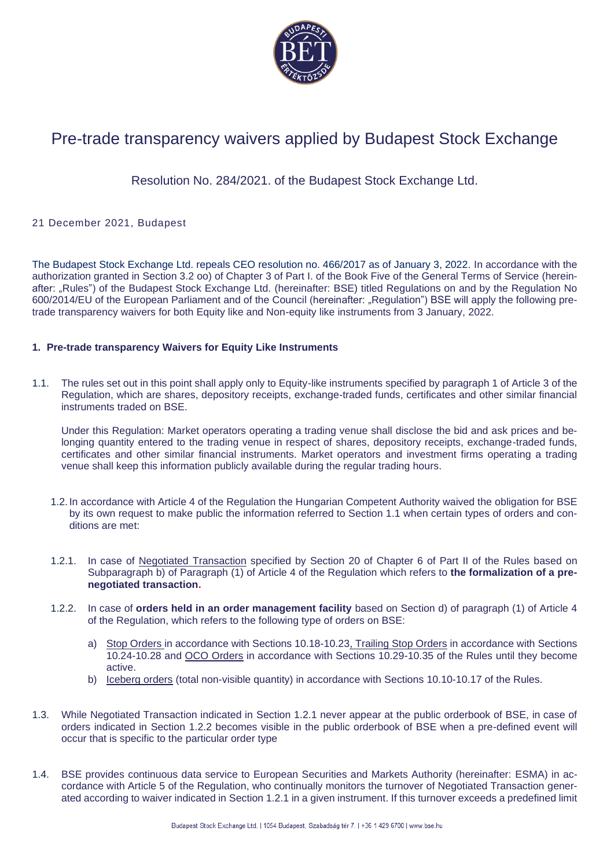

## Pre-trade transparency waivers applied by Budapest Stock Exchange

Resolution No. 284/2021. of the Budapest Stock Exchange Ltd.

21 December 2021, Budapest

The Budapest Stock Exchange Ltd. repeals CEO resolution no. 466/2017 as of January 3, 2022. In accordance with the authorization granted in Section 3.2 oo) of Chapter 3 of Part I. of the Book Five of the General Terms of Service (hereinafter: "Rules") of the Budapest Stock Exchange Ltd. (hereinafter: BSE) titled Regulations on and by the Regulation No 600/2014/EU of the European Parliament and of the Council (hereinafter: "Regulation") BSE will apply the following pretrade transparency waivers for both Equity like and Non-equity like instruments from 3 January, 2022.

## **1. Pre-trade transparency Waivers for Equity Like Instruments**

1.1. The rules set out in this point shall apply only to Equity-like instruments specified by paragraph 1 of Article 3 of the Regulation, which are shares, depository receipts, exchange-traded funds, certificates and other similar financial instruments traded on BSE.

Under this Regulation: Market operators operating a trading venue shall disclose the bid and ask prices and belonging quantity entered to the trading venue in respect of shares, depository receipts, exchange-traded funds, certificates and other similar financial instruments. Market operators and investment firms operating a trading venue shall keep this information publicly available during the regular trading hours.

- 1.2. In accordance with Article 4 of the Regulation the Hungarian Competent Authority waived the obligation for BSE by its own request to make public the information referred to Section 1.1 when certain types of orders and conditions are met:
- 1.2.1. In case of Negotiated Transaction specified by Section 20 of Chapter 6 of Part II of the Rules based on Subparagraph b) of Paragraph (1) of Article 4 of the Regulation which refers to **the formalization of a prenegotiated transaction.**
- 1.2.2. In case of **orders held in an order management facility** based on Section d) of paragraph (1) of Article 4 of the Regulation, which refers to the following type of orders on BSE:
	- a) Stop Orders in accordance with Sections 10.18-10.23, Trailing Stop Orders in accordance with Sections 10.24-10.28 and OCO Orders in accordance with Sections 10.29-10.35 of the Rules until they become active.
	- b) Iceberg orders (total non-visible quantity) in accordance with Sections 10.10-10.17 of the Rules.
- 1.3. While Negotiated Transaction indicated in Section 1.2.1 never appear at the public orderbook of BSE, in case of orders indicated in Section 1.2.2 becomes visible in the public orderbook of BSE when a pre-defined event will occur that is specific to the particular order type
- 1.4. BSE provides continuous data service to European Securities and Markets Authority (hereinafter: ESMA) in accordance with Article 5 of the Regulation, who continually monitors the turnover of Negotiated Transaction generated according to waiver indicated in Section 1.2.1 in a given instrument. If this turnover exceeds a predefined limit